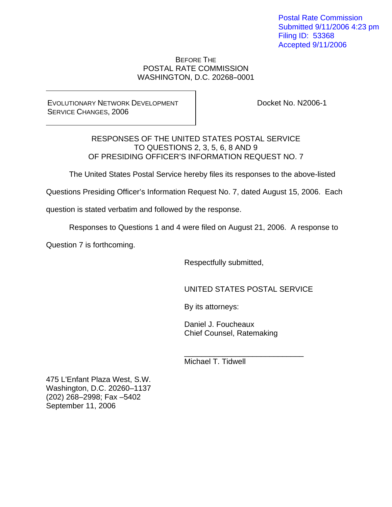Postal Rate Commission Submitted 9/11/2006 4:23 pm Filing ID: 53368 Accepted 9/11/2006

BEFORE THE POSTAL RATE COMMISSION WASHINGTON, D.C. 20268-0001

EVOLUTIONARY NETWORK DEVELOPMENT SERVICE CHANGES, 2006

Docket No. N2006-1

RESPONSES OF THE UNITED STATES POSTAL SERVICE TO QUESTIONS 2, 3, 5, 6, 8 AND 9 OF PRESIDING OFFICER'S INFORMATION REQUEST NO. 7

The United States Postal Service hereby files its responses to the above-listed

Questions Presiding Officer's Information Request No. 7, dated August 15, 2006. Each

question is stated verbatim and followed by the response.

Responses to Questions 1 and 4 were filed on August 21, 2006. A response to

Question 7 is forthcoming.

Respectfully submitted,

UNITED STATES POSTAL SERVICE

By its attorneys:

 Daniel J. Foucheaux Chief Counsel, Ratemaking

Michael T. Tidwell

 $\frac{1}{\sqrt{2}}$  ,  $\frac{1}{\sqrt{2}}$  ,  $\frac{1}{\sqrt{2}}$  ,  $\frac{1}{\sqrt{2}}$  ,  $\frac{1}{\sqrt{2}}$  ,  $\frac{1}{\sqrt{2}}$  ,  $\frac{1}{\sqrt{2}}$  ,  $\frac{1}{\sqrt{2}}$  ,  $\frac{1}{\sqrt{2}}$  ,  $\frac{1}{\sqrt{2}}$  ,  $\frac{1}{\sqrt{2}}$  ,  $\frac{1}{\sqrt{2}}$  ,  $\frac{1}{\sqrt{2}}$  ,  $\frac{1}{\sqrt{2}}$  ,  $\frac{1}{\sqrt{2}}$ 

475 L'Enfant Plaza West, S.W. Washington, D.C. 20260–1137 (202) 268–2998; Fax –5402 September 11, 2006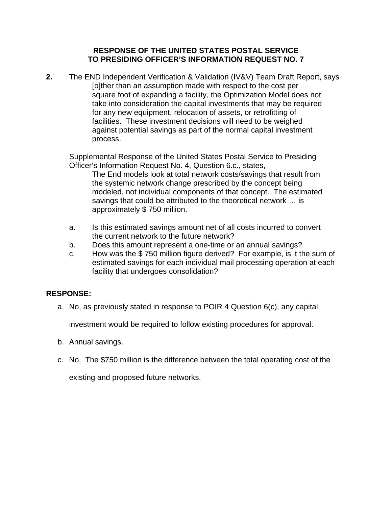**2.** The END Independent Verification & Validation (IV&V) Team Draft Report, says [o]ther than an assumption made with respect to the cost per square foot of expanding a facility, the Optimization Model does not take into consideration the capital investments that may be required for any new equipment, relocation of assets, or retrofitting of facilities. These investment decisions will need to be weighed against potential savings as part of the normal capital investment process.

Supplemental Response of the United States Postal Service to Presiding Officer's Information Request No. 4, Question 6.c., states,

The End models look at total network costs/savings that result from the systemic network change prescribed by the concept being modeled, not individual components of that concept. The estimated savings that could be attributed to the theoretical network … is approximately \$ 750 million.

- a. Is this estimated savings amount net of all costs incurred to convert the current network to the future network?
- b. Does this amount represent a one-time or an annual savings?
- c. How was the \$ 750 million figure derived? For example, is it the sum of estimated savings for each individual mail processing operation at each facility that undergoes consolidation?

# **RESPONSE:**

a. No, as previously stated in response to POIR 4 Question 6(c), any capital

investment would be required to follow existing procedures for approval.

- b. Annual savings.
- c. No. The \$750 million is the difference between the total operating cost of the

existing and proposed future networks.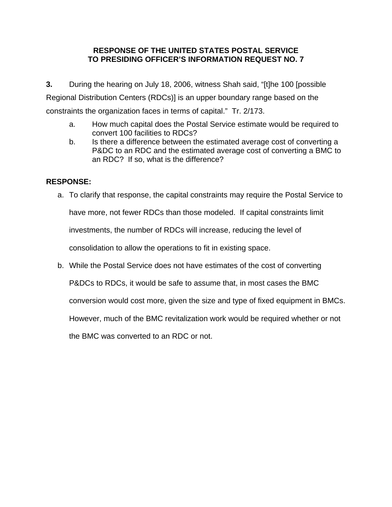**3.** During the hearing on July 18, 2006, witness Shah said, "[t]he 100 [possible Regional Distribution Centers (RDCs)] is an upper boundary range based on the constraints the organization faces in terms of capital." Tr. 2/173.

- a. How much capital does the Postal Service estimate would be required to convert 100 facilities to RDCs?
- b. Is there a difference between the estimated average cost of converting a P&DC to an RDC and the estimated average cost of converting a BMC to an RDC? If so, what is the difference?

# **RESPONSE:**

a. To clarify that response, the capital constraints may require the Postal Service to

have more, not fewer RDCs than those modeled. If capital constraints limit

investments, the number of RDCs will increase, reducing the level of

consolidation to allow the operations to fit in existing space.

b. While the Postal Service does not have estimates of the cost of converting

P&DCs to RDCs, it would be safe to assume that, in most cases the BMC

conversion would cost more, given the size and type of fixed equipment in BMCs.

However, much of the BMC revitalization work would be required whether or not

the BMC was converted to an RDC or not.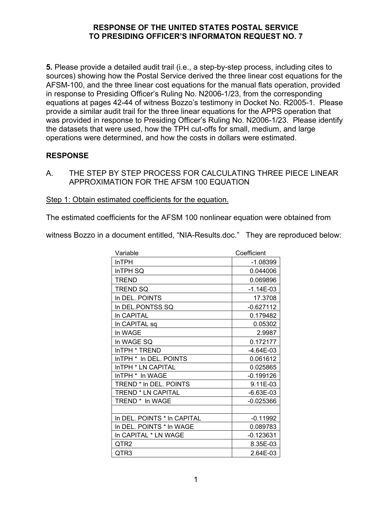**5.** Please provide a detailed audit trail (i.e., a step-by-step process, including cites to sources) showing how the Postal Service derived the three linear cost equations for the AFSM-100, and the three linear cost equations for the manual flats operation, provided in response to Presiding Officer's Ruling No. N2006-1/23, from the corresponding equations at pages 42-44 of witness Bozzo's testimony in Docket No. R2005-1. Please provide a similar audit trail for the three linear equations for the APPS operation that was provided in response to Presiding Officer's Ruling No. N2006-1/23. Please identify the datasets that were used, how the TPH cut-offs for small, medium, and large operations were determined, and how the costs in dollars were estimated.

# **RESPONSE**

A. THE STEP BY STEP PROCESS FOR CALCULATING THREE PIECE LINEAR APPROXIMATION FOR THE AFSM 100 EQUATION

Step 1: Obtain estimated coefficients for the equation.

The estimated coefficients for the AFSM 100 nonlinear equation were obtained from

witness Bozzo in a document entitled, "NIA-Results.doc." They are reproduced below:

| Variable                    | Coefficient |
|-----------------------------|-------------|
| <b>InTPH</b>                | $-1.08399$  |
| InTPH SQ                    | 0.044006    |
| <b>TREND</b>                | 0.069896    |
| <b>TREND SQ</b>             | $-1.14E-03$ |
| In DEL. POINTS              | 17.3708     |
| In DEL.PONTSS SQ            | $-0.627112$ |
| In CAPITAL                  | 0.179482    |
| In CAPITAL sq               | 0.05302     |
| In WAGE                     | 2.9987      |
| In WAGE SQ                  | 0.172177    |
| InTPH * TREND               | $-4.64E-03$ |
| InTPH * In DEL. POINTS      | 0.061612    |
| InTPH * LN CAPITAL          | 0.025865    |
| InTPH * In WAGE             | $-0.199126$ |
| TREND * In DEL, POINTS      | 9.11E-03    |
| <b>TREND * LN CAPITAL</b>   | $-6.63E-03$ |
| TREND <sup>*</sup> In WAGE  | $-0.025366$ |
|                             |             |
| In DEL. POINTS * In CAPITAL | $-0.11992$  |
| In DEL. POINTS * In WAGE    | 0.089783    |
| In CAPITAL * LN WAGE        | $-0.123631$ |
| QTR2                        | 8.35E-03    |
| QTR3                        | 2.64E-03    |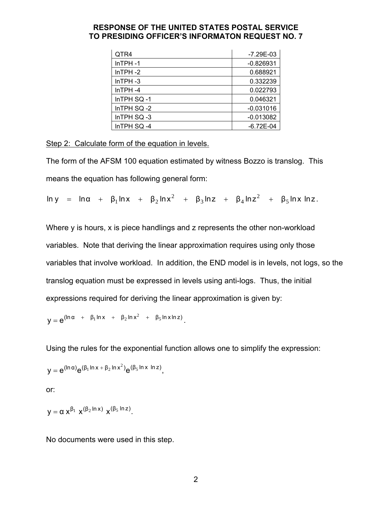| QTR4           | $-7.29E - 03$ |
|----------------|---------------|
| $InTPH -1$     | $-0.826931$   |
| $In$ TPH $-2$  | 0.688921      |
| $In$ TPH $-3$  | 0.332239      |
| $In$ TPH $-4$  | 0.022793      |
| InTPH SQ-1     | 0.046321      |
| In $TPH$ SQ -2 | $-0.031016$   |
| InTPH SQ-3     | $-0.013082$   |
| InTPH SQ-4     | $-6.72E - 04$ |

Step 2: Calculate form of the equation in levels.

The form of the AFSM 100 equation estimated by witness Bozzo is translog. This means the equation has following general form:

 $\ln y$  =  $\ln \alpha$  +  $\beta_1 \ln x$  +  $\beta_2 \ln x^2$  +  $\beta_3 \ln z$  +  $\beta_4 \ln z^2$  +  $\beta_5 \ln x \ln z$ .

Where y is hours, x is piece handlings and z represents the other non-workload variables. Note that deriving the linear approximation requires using only those variables that involve workload. In addition, the END model is in levels, not logs, so the translog equation must be expressed in levels using anti-logs. Thus, the initial expressions required for deriving the linear approximation is given by:

$$
y = e^{(\ln \alpha + \beta_1 \ln x + \beta_2 \ln x^2 + \beta_5 \ln x \ln z)}.
$$

Using the rules for the exponential function allows one to simplify the expression:

$$
y=e^{(\ln\alpha)}e^{(\beta_1\ln x+\beta_2\ln x^2)}e^{(\beta_5\ln x\,\ln z)},
$$

or:

$$
y = \alpha \; x^{\beta_1} \; \, x^{(\beta_2 \ln x)} \; \, x^{(\beta_5 \ln z)}.
$$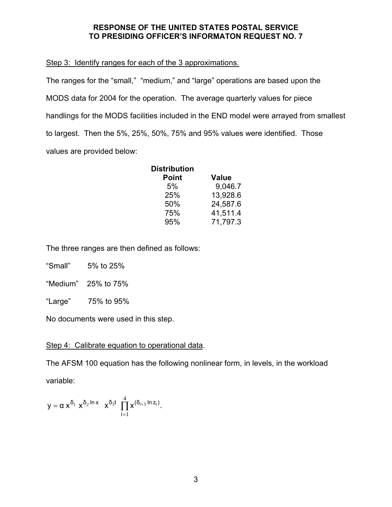### Step 3: Identify ranges for each of the 3 approximations.

The ranges for the "small," "medium," and "large" operations are based upon the MODS data for 2004 for the operation. The average quarterly values for piece handlings for the MODS facilities included in the END model were arrayed from smallest to largest. Then the 5%, 25%, 50%, 75% and 95% values were identified. Those values are provided below:

| <b>Distribution</b> |              |
|---------------------|--------------|
| <b>Point</b>        | <b>Value</b> |
| 5%                  | 9.046.7      |
| 25%                 | 13,928.6     |
| 50%                 | 24,587.6     |
| 75%                 | 41,511.4     |
| 95%                 | 71,797.3     |

The three ranges are then defined as follows:

"Small" 5% to 25%

"Medium" 25% to 75%

"Large" 75% to 95%

No documents were used in this step.

## Step 4: Calibrate equation to operational data.

The AFSM 100 equation has the following nonlinear form, in levels, in the workload variable:

$$
y=\alpha\; x^{\delta_1}\; x^{\delta_2\ln x}\quad x^{\delta_3t}\;\prod_{i=1}^4 x^{(\delta_{i+3}\ln z_i)}.
$$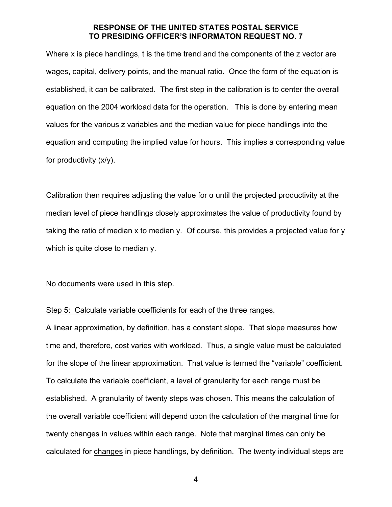Where x is piece handlings, t is the time trend and the components of the z vector are wages, capital, delivery points, and the manual ratio. Once the form of the equation is established, it can be calibrated. The first step in the calibration is to center the overall equation on the 2004 workload data for the operation. This is done by entering mean values for the various z variables and the median value for piece handlings into the equation and computing the implied value for hours. This implies a corresponding value for productivity (x/y).

Calibration then requires adjusting the value for  $\alpha$  until the projected productivity at the median level of piece handlings closely approximates the value of productivity found by taking the ratio of median x to median y. Of course, this provides a projected value for y which is quite close to median y.

No documents were used in this step.

#### Step 5: Calculate variable coefficients for each of the three ranges.

A linear approximation, by definition, has a constant slope. That slope measures how time and, therefore, cost varies with workload. Thus, a single value must be calculated for the slope of the linear approximation. That value is termed the "variable" coefficient. To calculate the variable coefficient, a level of granularity for each range must be established. A granularity of twenty steps was chosen. This means the calculation of the overall variable coefficient will depend upon the calculation of the marginal time for twenty changes in values within each range. Note that marginal times can only be calculated for changes in piece handlings, by definition. The twenty individual steps are

4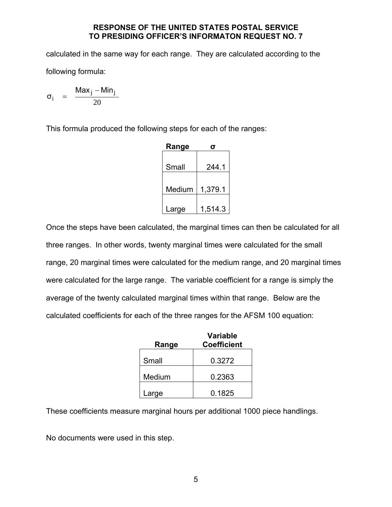calculated in the same way for each range. They are calculated according to the following formula:

$$
\sigma_i \quad = \quad \frac{\text{Max}_j - \text{Min}_j}{20}
$$

This formula produced the following steps for each of the ranges:

| Range  |         |
|--------|---------|
| Small  | 244.1   |
| Medium | 1,379.1 |
| Large  | 1,514.3 |

Once the steps have been calculated, the marginal times can then be calculated for all three ranges. In other words, twenty marginal times were calculated for the small range, 20 marginal times were calculated for the medium range, and 20 marginal times were calculated for the large range. The variable coefficient for a range is simply the average of the twenty calculated marginal times within that range. Below are the calculated coefficients for each of the three ranges for the AFSM 100 equation:

|        | <b>Variable</b>    |
|--------|--------------------|
| Range  | <b>Coefficient</b> |
|        |                    |
| Small  | 0.3272             |
|        |                    |
| Medium | 0.2363             |
|        |                    |
| Large  | 0.1825             |

These coefficients measure marginal hours per additional 1000 piece handlings.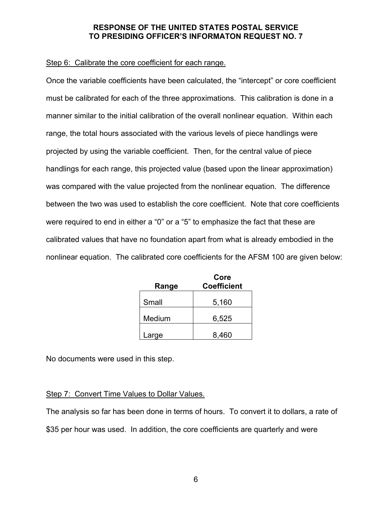## Step 6: Calibrate the core coefficient for each range.

Once the variable coefficients have been calculated, the "intercept" or core coefficient must be calibrated for each of the three approximations. This calibration is done in a manner similar to the initial calibration of the overall nonlinear equation. Within each range, the total hours associated with the various levels of piece handlings were projected by using the variable coefficient. Then, for the central value of piece handlings for each range, this projected value (based upon the linear approximation) was compared with the value projected from the nonlinear equation. The difference between the two was used to establish the core coefficient. Note that core coefficients were required to end in either a "0" or a "5" to emphasize the fact that these are calibrated values that have no foundation apart from what is already embodied in the nonlinear equation. The calibrated core coefficients for the AFSM 100 are given below:

|        | Core               |
|--------|--------------------|
| Range  | <b>Coefficient</b> |
|        |                    |
| Small  | 5,160              |
|        |                    |
| Medium | 6,525              |
|        |                    |
| Large  | 8,460              |

No documents were used in this step.

# Step 7: Convert Time Values to Dollar Values.

The analysis so far has been done in terms of hours. To convert it to dollars, a rate of \$35 per hour was used. In addition, the core coefficients are quarterly and were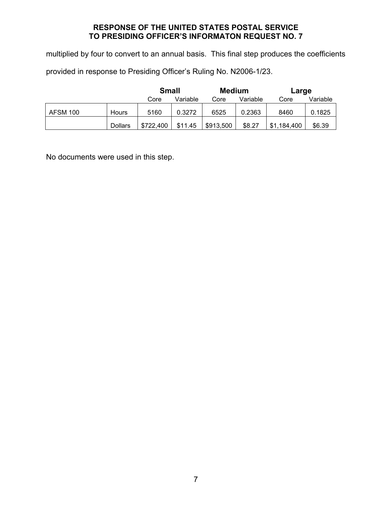multiplied by four to convert to an annual basis. This final step produces the coefficients

provided in response to Presiding Officer's Ruling No. N2006-1/23.

|                 |                | <b>Small</b> |          | <b>Medium</b> |          | Large           |          |
|-----------------|----------------|--------------|----------|---------------|----------|-----------------|----------|
|                 |                | Core         | Variable | Core          | Variable | Core            | Variable |
| <b>AFSM 100</b> | Hours          | 5160         | 0.3272   | 6525          | 0.2363   | 8460            | 0.1825   |
|                 | <b>Dollars</b> | \$722,400    | \$11.45  | \$913,500     | \$8.27   | ,184,400<br>\$1 | \$6.39   |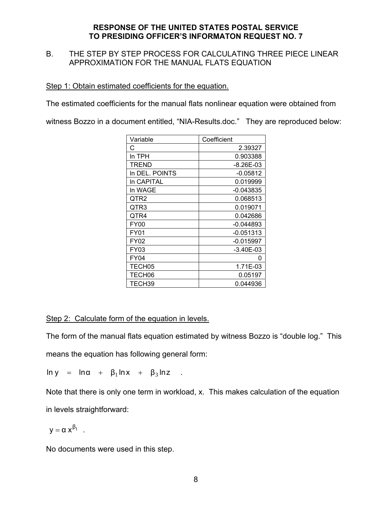# B. THE STEP BY STEP PROCESS FOR CALCULATING THREE PIECE LINEAR APPROXIMATION FOR THE MANUAL FLATS EQUATION

### Step 1: Obtain estimated coefficients for the equation.

The estimated coefficients for the manual flats nonlinear equation were obtained from

witness Bozzo in a document entitled, "NIA-Results.doc." They are reproduced below:

| Variable       | Coefficient |
|----------------|-------------|
| С              | 2.39327     |
| In TPH         | 0.903388    |
| TREND          | $-8.26E-03$ |
| In DEL. POINTS | $-0.05812$  |
| In CAPITAL     | 0.019999    |
| In WAGE        | -0.043835   |
| QTR2           | 0.068513    |
| QTR3           | 0.019071    |
| QTR4           | 0.042686    |
| <b>FY00</b>    | $-0.044893$ |
| <b>FY01</b>    | $-0.051313$ |
| FY02           | $-0.015997$ |
| FY03           | -3.40E-03   |
| FY04           | O           |
| TECH05         | 1.71E-03    |
| TECH06         | 0.05197     |
| TECH39         | 0.044936    |

## Step 2: Calculate form of the equation in levels.

The form of the manual flats equation estimated by witness Bozzo is "double log." This means the equation has following general form:

 $\ln y = \ln \alpha + \beta_1 \ln x + \beta_3 \ln z$ .

Note that there is only one term in workload, x. This makes calculation of the equation in levels straightforward:

$$
y=\alpha\; x^{\beta_1}\quad.
$$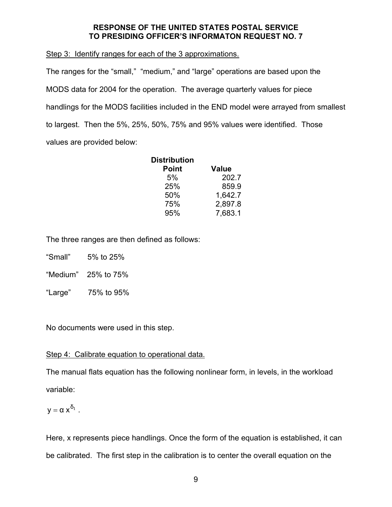Step 3: Identify ranges for each of the 3 approximations.

The ranges for the "small," "medium," and "large" operations are based upon the MODS data for 2004 for the operation. The average quarterly values for piece handlings for the MODS facilities included in the END model were arrayed from smallest to largest. Then the 5%, 25%, 50%, 75% and 95% values were identified. Those values are provided below:

| Distribution |              |
|--------------|--------------|
| <b>Point</b> | <b>Value</b> |
| 5%           | 202.7        |
| 25%          | 859.9        |
| 50%          | 1,642.7      |
| 75%          | 2,897.8      |
| 95%          | 7.683.1      |

The three ranges are then defined as follows:

- "Small" 5% to 25%
- "Medium" 25% to 75%
- "Large" 75% to 95%

No documents were used in this step.

## Step 4: Calibrate equation to operational data.

The manual flats equation has the following nonlinear form, in levels, in the workload variable:

$$
y=\alpha\; x^{\delta_1}\ .
$$

Here, x represents piece handlings. Once the form of the equation is established, it can be calibrated. The first step in the calibration is to center the overall equation on the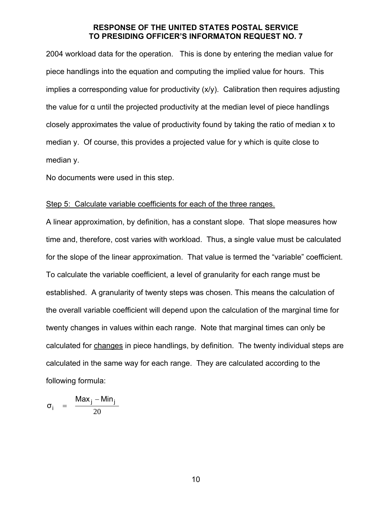2004 workload data for the operation. This is done by entering the median value for piece handlings into the equation and computing the implied value for hours. This implies a corresponding value for productivity (x/y). Calibration then requires adjusting the value for α until the projected productivity at the median level of piece handlings closely approximates the value of productivity found by taking the ratio of median x to median y. Of course, this provides a projected value for y which is quite close to median y.

No documents were used in this step.

#### Step 5: Calculate variable coefficients for each of the three ranges.

A linear approximation, by definition, has a constant slope. That slope measures how time and, therefore, cost varies with workload. Thus, a single value must be calculated for the slope of the linear approximation. That value is termed the "variable" coefficient. To calculate the variable coefficient, a level of granularity for each range must be established. A granularity of twenty steps was chosen. This means the calculation of the overall variable coefficient will depend upon the calculation of the marginal time for twenty changes in values within each range. Note that marginal times can only be calculated for changes in piece handlings, by definition. The twenty individual steps are calculated in the same way for each range. They are calculated according to the following formula:

$$
\sigma_i = \frac{\text{Max}_j - \text{Min}_j}{20}
$$

10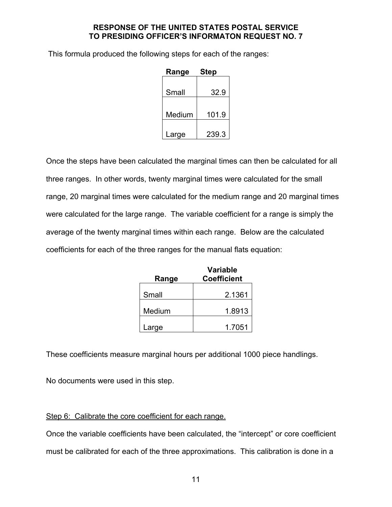This formula produced the following steps for each of the ranges:

| Range  | <b>Step</b> |
|--------|-------------|
| Small  | 32.9        |
| Medium | 101.9       |
| Large  | 239.3       |

Once the steps have been calculated the marginal times can then be calculated for all three ranges. In other words, twenty marginal times were calculated for the small range, 20 marginal times were calculated for the medium range and 20 marginal times were calculated for the large range. The variable coefficient for a range is simply the average of the twenty marginal times within each range. Below are the calculated coefficients for each of the three ranges for the manual flats equation:

|        | <b>Variable</b>    |
|--------|--------------------|
| Range  | <b>Coefficient</b> |
|        |                    |
| Small  | 2.1361             |
|        |                    |
| Medium | 1.8913             |
|        |                    |
| Large  | 1.7051             |

These coefficients measure marginal hours per additional 1000 piece handlings.

No documents were used in this step.

# Step 6: Calibrate the core coefficient for each range.

Once the variable coefficients have been calculated, the "intercept" or core coefficient must be calibrated for each of the three approximations. This calibration is done in a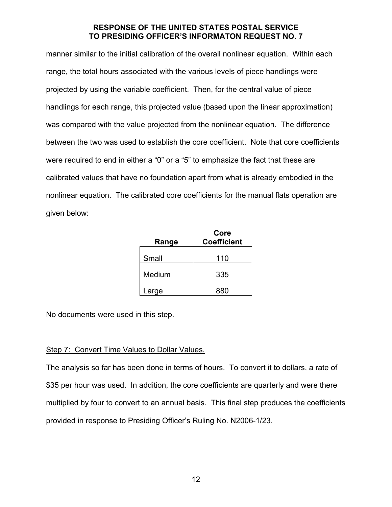manner similar to the initial calibration of the overall nonlinear equation. Within each range, the total hours associated with the various levels of piece handlings were projected by using the variable coefficient. Then, for the central value of piece handlings for each range, this projected value (based upon the linear approximation) was compared with the value projected from the nonlinear equation. The difference between the two was used to establish the core coefficient. Note that core coefficients were required to end in either a "0" or a "5" to emphasize the fact that these are calibrated values that have no foundation apart from what is already embodied in the nonlinear equation. The calibrated core coefficients for the manual flats operation are given below:

| Range  | Core<br><b>Coefficient</b> |
|--------|----------------------------|
| Small  | 110                        |
| Medium | 335                        |
| Large  | 880                        |

No documents were used in this step.

# Step 7: Convert Time Values to Dollar Values.

The analysis so far has been done in terms of hours. To convert it to dollars, a rate of \$35 per hour was used. In addition, the core coefficients are quarterly and were there multiplied by four to convert to an annual basis. This final step produces the coefficients provided in response to Presiding Officer's Ruling No. N2006-1/23.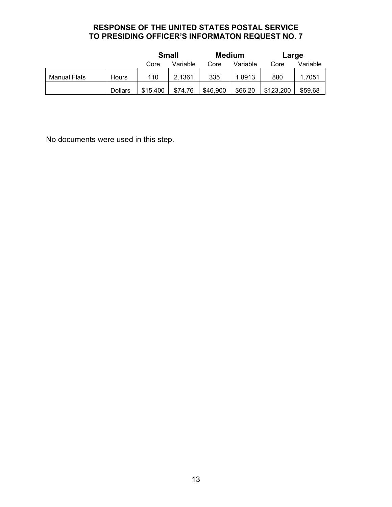|              |                | <b>Small</b> |          | <b>Medium</b> |          | Large     |          |
|--------------|----------------|--------------|----------|---------------|----------|-----------|----------|
|              |                | Core         | Variable | Core          | Variable | Core      | Variable |
| Manual Flats | Hours          | 110          | 2.1361   | 335           | 1.8913   | 880       | 1.7051   |
|              | <b>Dollars</b> | \$15,400     | \$74.76  | \$46,900      | \$66.20  | \$123,200 | \$59.68  |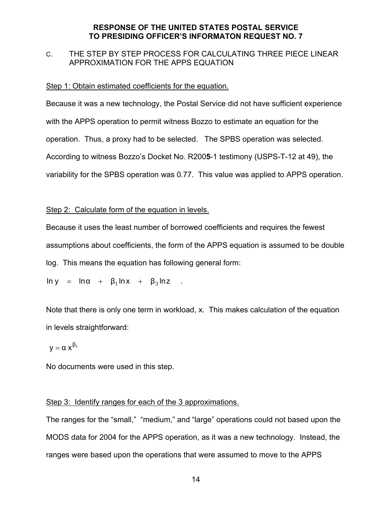# C. THE STEP BY STEP PROCESS FOR CALCULATING THREE PIECE LINEAR APPROXIMATION FOR THE APPS EQUATION

#### Step 1: Obtain estimated coefficients for the equation.

Because it was a new technology, the Postal Service did not have sufficient experience with the APPS operation to permit witness Bozzo to estimate an equation for the operation. Thus, a proxy had to be selected. The SPBS operation was selected. According to witness Bozzo's Docket No. R200**5**-1 testimony (USPS-T-12 at 49), the variability for the SPBS operation was 0.77. This value was applied to APPS operation.

#### Step 2: Calculate form of the equation in levels.

Because it uses the least number of borrowed coefficients and requires the fewest assumptions about coefficients, the form of the APPS equation is assumed to be double log. This means the equation has following general form:

$$
\ln y = \ln \alpha + \beta_1 \ln x + \beta_3 \ln z
$$

Note that there is only one term in workload, x. This makes calculation of the equation in levels straightforward:

$$
y=\alpha\;x^{\beta_1}
$$

No documents were used in this step.

## Step 3: Identify ranges for each of the 3 approximations.

The ranges for the "small," "medium," and "large" operations could not based upon the MODS data for 2004 for the APPS operation, as it was a new technology. Instead, the ranges were based upon the operations that were assumed to move to the APPS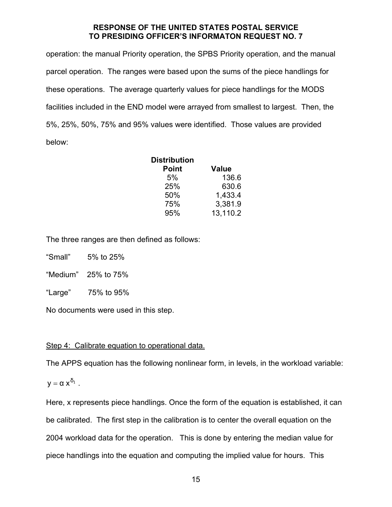operation: the manual Priority operation, the SPBS Priority operation, and the manual parcel operation. The ranges were based upon the sums of the piece handlings for these operations. The average quarterly values for piece handlings for the MODS facilities included in the END model were arrayed from smallest to largest. Then, the 5%, 25%, 50%, 75% and 95% values were identified. Those values are provided below:

| <b>Distribution</b> |              |
|---------------------|--------------|
| <b>Point</b>        | <b>Value</b> |
| 5%                  | 136.6        |
| 25%                 | 630.6        |
| 50%                 | 1,433.4      |
| 75%                 | 3,381.9      |
| 95%                 | 13,110.2     |

The three ranges are then defined as follows:

"Small" 5% to 25%

"Medium" 25% to 75%

"Large" 75% to 95%

No documents were used in this step.

# Step 4: Calibrate equation to operational data.

The APPS equation has the following nonlinear form, in levels, in the workload variable:

$$
y=\alpha\; x^{\delta_1}\ .
$$

Here, x represents piece handlings. Once the form of the equation is established, it can be calibrated. The first step in the calibration is to center the overall equation on the 2004 workload data for the operation. This is done by entering the median value for piece handlings into the equation and computing the implied value for hours. This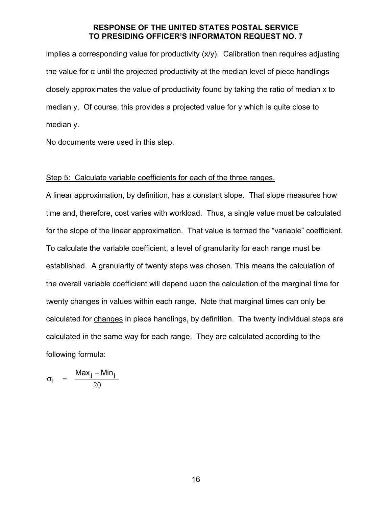implies a corresponding value for productivity (x/y). Calibration then requires adjusting the value for  $\alpha$  until the projected productivity at the median level of piece handlings closely approximates the value of productivity found by taking the ratio of median x to median y. Of course, this provides a projected value for y which is quite close to median y.

No documents were used in this step.

#### Step 5: Calculate variable coefficients for each of the three ranges.

A linear approximation, by definition, has a constant slope. That slope measures how time and, therefore, cost varies with workload. Thus, a single value must be calculated for the slope of the linear approximation. That value is termed the "variable" coefficient. To calculate the variable coefficient, a level of granularity for each range must be established. A granularity of twenty steps was chosen. This means the calculation of the overall variable coefficient will depend upon the calculation of the marginal time for twenty changes in values within each range. Note that marginal times can only be calculated for changes in piece handlings, by definition. The twenty individual steps are calculated in the same way for each range. They are calculated according to the following formula:

$$
\sigma_i = \frac{\text{Max}_j - \text{Min}_j}{20}
$$

16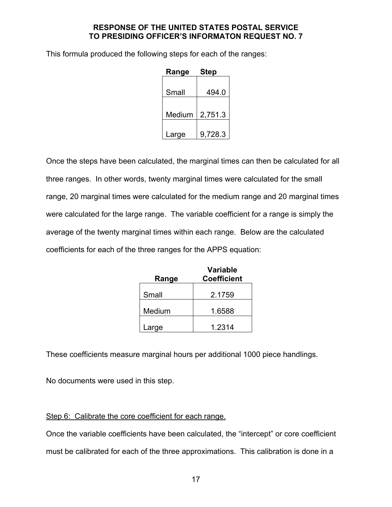This formula produced the following steps for each of the ranges:

| Range  | <b>Step</b> |  |  |  |
|--------|-------------|--|--|--|
| Small  | 494.0       |  |  |  |
| Medium | 2,751.3     |  |  |  |
| Large  | 9,728.3     |  |  |  |

Once the steps have been calculated, the marginal times can then be calculated for all three ranges. In other words, twenty marginal times were calculated for the small range, 20 marginal times were calculated for the medium range and 20 marginal times were calculated for the large range. The variable coefficient for a range is simply the average of the twenty marginal times within each range. Below are the calculated coefficients for each of the three ranges for the APPS equation:

|        | <b>Variable</b>    |  |  |  |
|--------|--------------------|--|--|--|
| Range  | <b>Coefficient</b> |  |  |  |
|        |                    |  |  |  |
| Small  | 2.1759             |  |  |  |
|        |                    |  |  |  |
| Medium | 1.6588             |  |  |  |
|        |                    |  |  |  |
| Large  | 1.2314             |  |  |  |

These coefficients measure marginal hours per additional 1000 piece handlings.

No documents were used in this step.

# Step 6: Calibrate the core coefficient for each range.

Once the variable coefficients have been calculated, the "intercept" or core coefficient must be calibrated for each of the three approximations. This calibration is done in a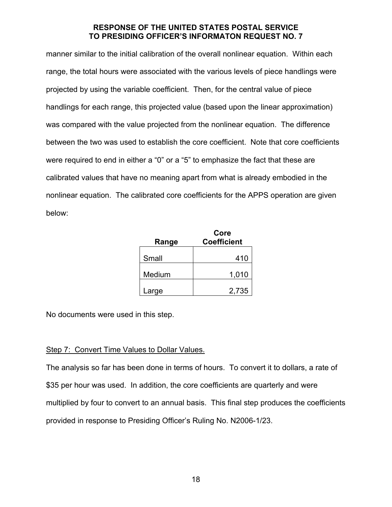manner similar to the initial calibration of the overall nonlinear equation. Within each range, the total hours were associated with the various levels of piece handlings were projected by using the variable coefficient. Then, for the central value of piece handlings for each range, this projected value (based upon the linear approximation) was compared with the value projected from the nonlinear equation. The difference between the two was used to establish the core coefficient. Note that core coefficients were required to end in either a "0" or a "5" to emphasize the fact that these are calibrated values that have no meaning apart from what is already embodied in the nonlinear equation. The calibrated core coefficients for the APPS operation are given below:

| Range  | Core<br><b>Coefficient</b> |
|--------|----------------------------|
|        |                            |
| Small  | 410                        |
|        |                            |
| Medium | 1,010                      |
|        |                            |
| Large  | 2,735                      |

No documents were used in this step.

# Step 7: Convert Time Values to Dollar Values.

The analysis so far has been done in terms of hours. To convert it to dollars, a rate of \$35 per hour was used. In addition, the core coefficients are quarterly and were multiplied by four to convert to an annual basis. This final step produces the coefficients provided in response to Presiding Officer's Ruling No. N2006-1/23.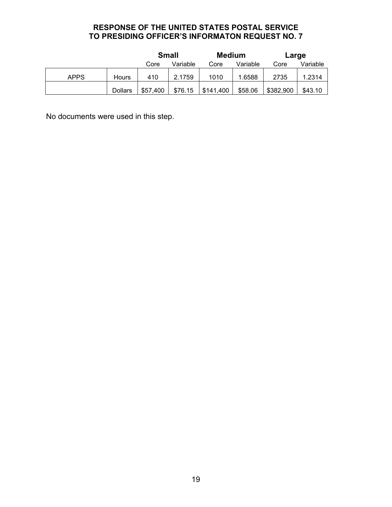|             |                | <b>Small</b> |          | <b>Medium</b> |          | Large     |          |
|-------------|----------------|--------------|----------|---------------|----------|-----------|----------|
|             |                | Core         | Variable | Core          | Variable | Core      | Variable |
| <b>APPS</b> | Hours          | 410          | 2.1759   | 1010          | 1.6588   | 2735      | 1.2314   |
|             | <b>Dollars</b> | \$57,400     | \$76.15  | \$141,400     | \$58.06  | \$382,900 | \$43.10  |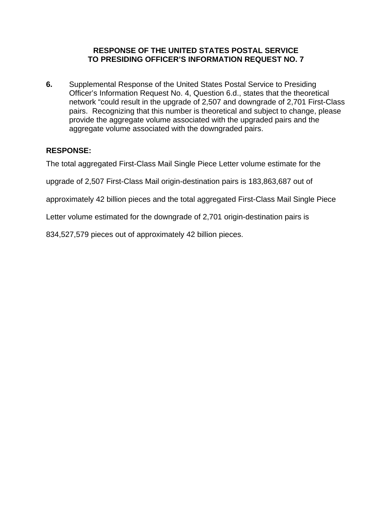**6.** Supplemental Response of the United States Postal Service to Presiding Officer's Information Request No. 4, Question 6.d., states that the theoretical network "could result in the upgrade of 2,507 and downgrade of 2,701 First-Class pairs. Recognizing that this number is theoretical and subject to change, please provide the aggregate volume associated with the upgraded pairs and the aggregate volume associated with the downgraded pairs.

# **RESPONSE:**

The total aggregated First-Class Mail Single Piece Letter volume estimate for the

upgrade of 2,507 First-Class Mail origin-destination pairs is 183,863,687 out of

approximately 42 billion pieces and the total aggregated First-Class Mail Single Piece

Letter volume estimated for the downgrade of 2,701 origin-destination pairs is

834,527,579 pieces out of approximately 42 billion pieces.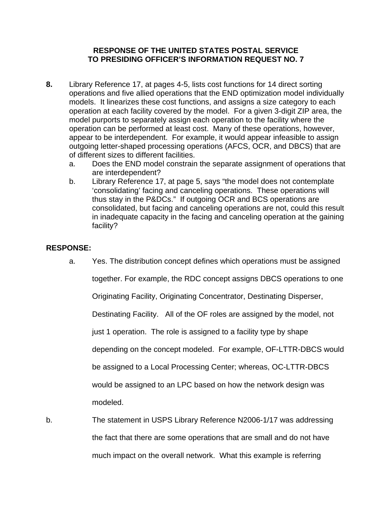- **8.** Library Reference 17, at pages 4-5, lists cost functions for 14 direct sorting operations and five allied operations that the END optimization model individually models. It linearizes these cost functions, and assigns a size category to each operation at each facility covered by the model. For a given 3-digit ZIP area, the model purports to separately assign each operation to the facility where the operation can be performed at least cost. Many of these operations, however, appear to be interdependent. For example, it would appear infeasible to assign outgoing letter-shaped processing operations (AFCS, OCR, and DBCS) that are of different sizes to different facilities.
	- a. Does the END model constrain the separate assignment of operations that are interdependent?
	- b. Library Reference 17, at page 5, says "the model does not contemplate 'consolidating' facing and canceling operations. These operations will thus stay in the P&DCs." If outgoing OCR and BCS operations are consolidated, but facing and canceling operations are not, could this result in inadequate capacity in the facing and canceling operation at the gaining facility?

## **RESPONSE:**

a. Yes. The distribution concept defines which operations must be assigned

together. For example, the RDC concept assigns DBCS operations to one

Originating Facility, Originating Concentrator, Destinating Disperser,

Destinating Facility. All of the OF roles are assigned by the model, not

just 1 operation. The role is assigned to a facility type by shape

depending on the concept modeled. For example, OF-LTTR-DBCS would

be assigned to a Local Processing Center; whereas, OC-LTTR-DBCS

would be assigned to an LPC based on how the network design was

modeled.

b. The statement in USPS Library Reference N2006-1/17 was addressing the fact that there are some operations that are small and do not have much impact on the overall network. What this example is referring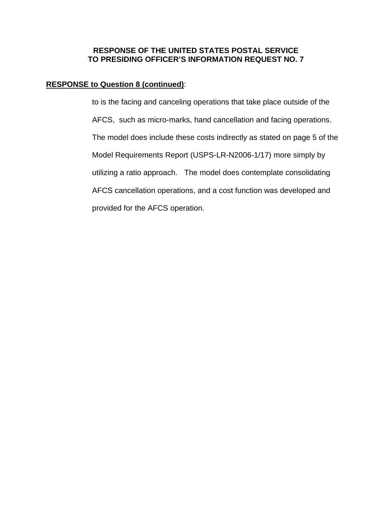# **RESPONSE to Question 8 (continued)**:

 to is the facing and canceling operations that take place outside of the AFCS, such as micro-marks, hand cancellation and facing operations. The model does include these costs indirectly as stated on page 5 of the Model Requirements Report (USPS-LR-N2006-1/17) more simply by utilizing a ratio approach. The model does contemplate consolidating AFCS cancellation operations, and a cost function was developed and provided for the AFCS operation.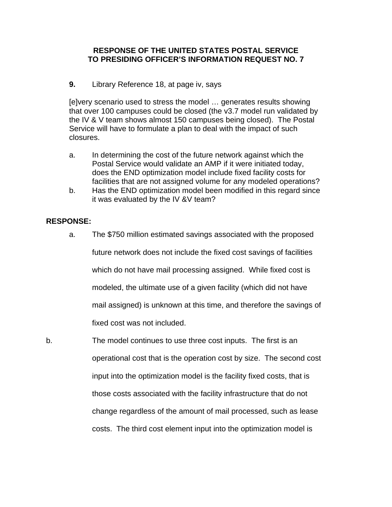### **9.** Library Reference 18, at page iv, says

 [e]very scenario used to stress the model … generates results showing that over 100 campuses could be closed (the v3.7 model run validated by the IV & V team shows almost 150 campuses being closed). The Postal Service will have to formulate a plan to deal with the impact of such closures.

- a. In determining the cost of the future network against which the Postal Service would validate an AMP if it were initiated today, does the END optimization model include fixed facility costs for facilities that are not assigned volume for any modeled operations?
- b. Has the END optimization model been modified in this regard since it was evaluated by the IV &V team?

#### **RESPONSE:**

- a. The \$750 million estimated savings associated with the proposed future network does not include the fixed cost savings of facilities which do not have mail processing assigned. While fixed cost is modeled, the ultimate use of a given facility (which did not have mail assigned) is unknown at this time, and therefore the savings of fixed cost was not included.
- b. The model continues to use three cost inputs. The first is an operational cost that is the operation cost by size. The second cost input into the optimization model is the facility fixed costs, that is those costs associated with the facility infrastructure that do not change regardless of the amount of mail processed, such as lease costs. The third cost element input into the optimization model is